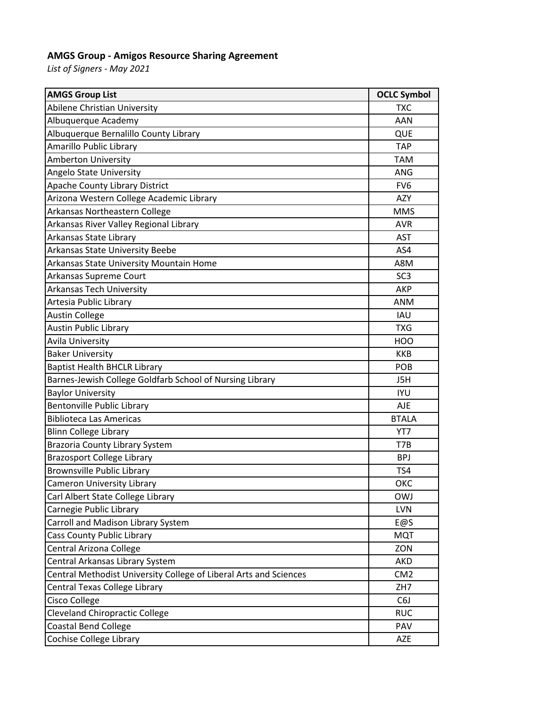## **AMGS Group - Amigos Resource Sharing Agreement**

*List of Signers - May 2021*

| <b>AMGS Group List</b>                                            | <b>OCLC Symbol</b> |
|-------------------------------------------------------------------|--------------------|
| Abilene Christian University                                      | <b>TXC</b>         |
| Albuquerque Academy                                               | AAN                |
| Albuquerque Bernalillo County Library                             | QUE                |
| Amarillo Public Library                                           | <b>TAP</b>         |
| <b>Amberton University</b>                                        | <b>TAM</b>         |
| Angelo State University                                           | ANG                |
| <b>Apache County Library District</b>                             | FV <sub>6</sub>    |
| Arizona Western College Academic Library                          | AZY                |
| Arkansas Northeastern College                                     | <b>MMS</b>         |
| Arkansas River Valley Regional Library                            | <b>AVR</b>         |
| Arkansas State Library                                            | <b>AST</b>         |
| Arkansas State University Beebe                                   | AS4                |
| Arkansas State University Mountain Home                           | A8M                |
| Arkansas Supreme Court                                            | SC <sub>3</sub>    |
| Arkansas Tech University                                          | AKP                |
| Artesia Public Library                                            | <b>ANM</b>         |
| <b>Austin College</b>                                             | <b>IAU</b>         |
| <b>Austin Public Library</b>                                      | <b>TXG</b>         |
| Avila University                                                  | <b>HOO</b>         |
| <b>Baker University</b>                                           | <b>KKB</b>         |
| <b>Baptist Health BHCLR Library</b>                               | POB                |
| Barnes-Jewish College Goldfarb School of Nursing Library          | J5H                |
| <b>Baylor University</b>                                          | <b>IYU</b>         |
| <b>Bentonville Public Library</b>                                 | <b>AJE</b>         |
| <b>Biblioteca Las Americas</b>                                    | <b>BTALA</b>       |
| <b>Blinn College Library</b>                                      | YT7                |
| <b>Brazoria County Library System</b>                             | T7B                |
| <b>Brazosport College Library</b>                                 | <b>BPJ</b>         |
| <b>Brownsville Public Library</b>                                 | TS4                |
| <b>Cameron University Library</b>                                 | ОКС                |
| Carl Albert State College Library                                 | <b>OWJ</b>         |
| Carnegie Public Library                                           | <b>LVN</b>         |
| Carroll and Madison Library System                                | E@S                |
| Cass County Public Library                                        | <b>MQT</b>         |
| Central Arizona College                                           | ZON                |
| Central Arkansas Library System                                   | AKD                |
| Central Methodist University College of Liberal Arts and Sciences | CM <sub>2</sub>    |
| Central Texas College Library                                     | ZH7                |
| Cisco College                                                     | C <sub>6</sub> J   |
| <b>Cleveland Chiropractic College</b>                             | <b>RUC</b>         |
| <b>Coastal Bend College</b>                                       | PAV                |
| Cochise College Library                                           | <b>AZE</b>         |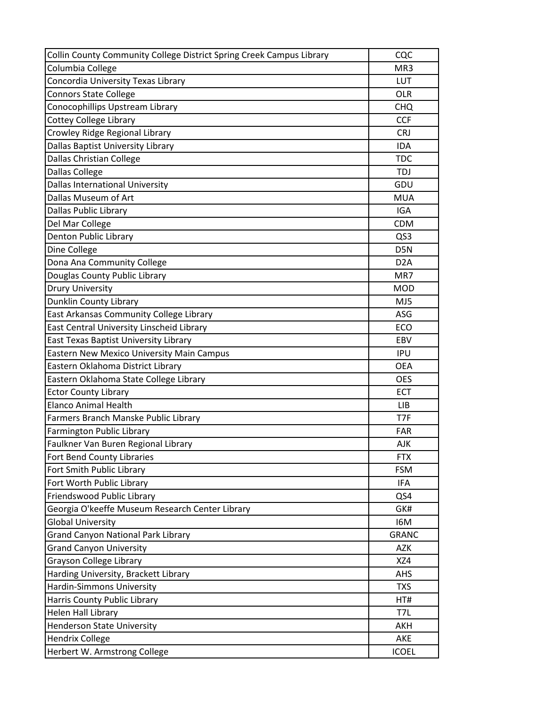| Collin County Community College District Spring Creek Campus Library | CQC              |
|----------------------------------------------------------------------|------------------|
| Columbia College                                                     | MR3              |
| Concordia University Texas Library                                   | LUT              |
| <b>Connors State College</b>                                         | <b>OLR</b>       |
| Conocophillips Upstream Library                                      | <b>CHQ</b>       |
| <b>Cottey College Library</b>                                        | <b>CCF</b>       |
| Crowley Ridge Regional Library                                       | <b>CRJ</b>       |
| Dallas Baptist University Library                                    | <b>IDA</b>       |
| <b>Dallas Christian College</b>                                      | <b>TDC</b>       |
| <b>Dallas College</b>                                                | <b>TDJ</b>       |
| <b>Dallas International University</b>                               | GDU              |
| Dallas Museum of Art                                                 | <b>MUA</b>       |
| Dallas Public Library                                                | <b>IGA</b>       |
| Del Mar College                                                      | <b>CDM</b>       |
| Denton Public Library                                                | QS3              |
| Dine College                                                         | D5N              |
| Dona Ana Community College                                           | D <sub>2</sub> A |
| Douglas County Public Library                                        | MR7              |
| <b>Drury University</b>                                              | <b>MOD</b>       |
| Dunklin County Library                                               | MJ5              |
| East Arkansas Community College Library                              | ASG              |
| East Central University Linscheid Library                            | ECO              |
| East Texas Baptist University Library                                | EBV              |
| Eastern New Mexico University Main Campus                            | <b>IPU</b>       |
| Eastern Oklahoma District Library                                    | <b>OEA</b>       |
| Eastern Oklahoma State College Library                               | <b>OES</b>       |
| <b>Ector County Library</b>                                          | <b>ECT</b>       |
| <b>Elanco Animal Health</b>                                          | <b>LIB</b>       |
| Farmers Branch Manske Public Library                                 | T7F              |
| Farmington Public Library                                            | <b>FAR</b>       |
| Faulkner Van Buren Regional Library                                  | <b>AJK</b>       |
| Fort Bend County Libraries                                           | <b>FTX</b>       |
| Fort Smith Public Library                                            | <b>FSM</b>       |
| Fort Worth Public Library                                            | IFA              |
| Friendswood Public Library                                           | QS4              |
| Georgia O'keeffe Museum Research Center Library                      | GK#              |
| <b>Global University</b>                                             | I6M              |
| <b>Grand Canyon National Park Library</b>                            | <b>GRANC</b>     |
| <b>Grand Canyon University</b>                                       | <b>AZK</b>       |
| <b>Grayson College Library</b>                                       | XZ4              |
| Harding University, Brackett Library                                 | <b>AHS</b>       |
| Hardin-Simmons University                                            | <b>TXS</b>       |
| Harris County Public Library                                         | HT#              |
| Helen Hall Library                                                   | T7L              |
| <b>Henderson State University</b>                                    | AKH              |
| <b>Hendrix College</b>                                               | AKE              |
| Herbert W. Armstrong College                                         | <b>ICOEL</b>     |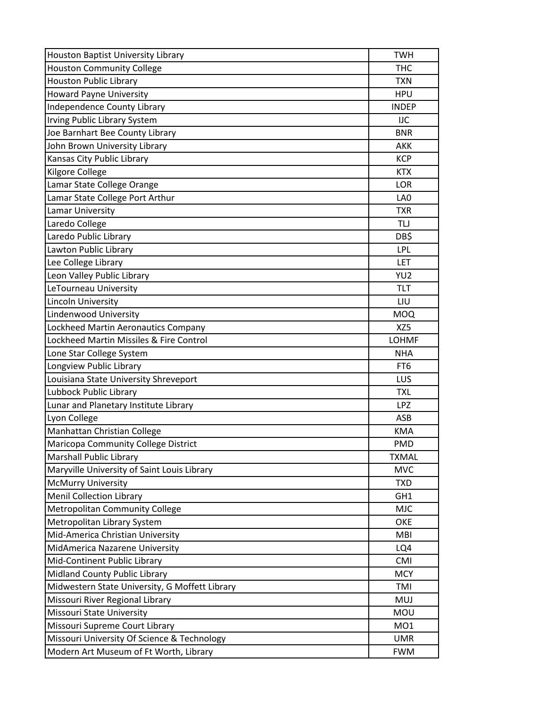| <b>Houston Baptist University Library</b>      | <b>TWH</b>      |
|------------------------------------------------|-----------------|
| <b>Houston Community College</b>               | <b>THC</b>      |
| Houston Public Library                         | <b>TXN</b>      |
| <b>Howard Payne University</b>                 | <b>HPU</b>      |
| <b>Independence County Library</b>             | <b>INDEP</b>    |
| Irving Public Library System                   | IJC             |
| Joe Barnhart Bee County Library                | <b>BNR</b>      |
| John Brown University Library                  | <b>AKK</b>      |
| Kansas City Public Library                     | <b>KCP</b>      |
| Kilgore College                                | <b>KTX</b>      |
| Lamar State College Orange                     | <b>LOR</b>      |
| Lamar State College Port Arthur                | LA <sub>0</sub> |
| Lamar University                               | <b>TXR</b>      |
| Laredo College                                 | <b>TLJ</b>      |
| Laredo Public Library                          | DB\$            |
| Lawton Public Library                          | LPL             |
| Lee College Library                            | LET             |
| Leon Valley Public Library                     | YU <sub>2</sub> |
| LeTourneau University                          | <b>TLT</b>      |
| Lincoln University                             | LIU             |
| Lindenwood University                          | <b>MOQ</b>      |
| Lockheed Martin Aeronautics Company            | XZ5             |
| Lockheed Martin Missiles & Fire Control        | <b>LOHMF</b>    |
| Lone Star College System                       | <b>NHA</b>      |
| Longview Public Library                        | FT <sub>6</sub> |
| Louisiana State University Shreveport          | LUS             |
| Lubbock Public Library                         | <b>TXL</b>      |
| Lunar and Planetary Institute Library          | <b>LPZ</b>      |
| Lyon College                                   | <b>ASB</b>      |
| Manhattan Christian College                    | <b>KMA</b>      |
| Maricopa Community College District            | <b>PMD</b>      |
| Marshall Public Library                        | <b>TXMAL</b>    |
| Maryville University of Saint Louis Library    | <b>MVC</b>      |
| <b>McMurry University</b>                      | <b>TXD</b>      |
| <b>Menil Collection Library</b>                | GH <sub>1</sub> |
| <b>Metropolitan Community College</b>          | <b>MJC</b>      |
| Metropolitan Library System                    | <b>OKE</b>      |
| Mid-America Christian University               | <b>MBI</b>      |
| MidAmerica Nazarene University                 | LQ4             |
| Mid-Continent Public Library                   | CMI             |
| Midland County Public Library                  | <b>MCY</b>      |
| Midwestern State University, G Moffett Library | TMI             |
| Missouri River Regional Library                | <b>MUJ</b>      |
| <b>Missouri State University</b>               | <b>MOU</b>      |
| Missouri Supreme Court Library                 | MO1             |
| Missouri University Of Science & Technology    | <b>UMR</b>      |
| Modern Art Museum of Ft Worth, Library         | <b>FWM</b>      |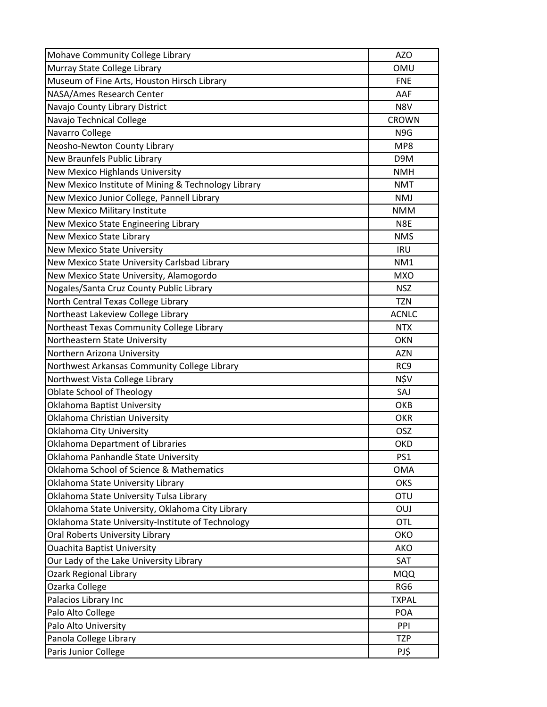| Mohave Community College Library                    | <b>AZO</b>      |
|-----------------------------------------------------|-----------------|
| Murray State College Library                        | <b>OMU</b>      |
| Museum of Fine Arts, Houston Hirsch Library         | <b>FNE</b>      |
| NASA/Ames Research Center                           | AAF             |
| Navajo County Library District                      | N8V             |
| Navajo Technical College                            | <b>CROWN</b>    |
| Navarro College                                     | N9G             |
| Neosho-Newton County Library                        | MP8             |
| New Braunfels Public Library                        | D9M             |
| New Mexico Highlands University                     | <b>NMH</b>      |
| New Mexico Institute of Mining & Technology Library | <b>NMT</b>      |
| New Mexico Junior College, Pannell Library          | <b>NMJ</b>      |
| New Mexico Military Institute                       | <b>NMM</b>      |
| New Mexico State Engineering Library                | N8E             |
| <b>New Mexico State Library</b>                     | <b>NMS</b>      |
| New Mexico State University                         | <b>IRU</b>      |
| New Mexico State University Carlsbad Library        | NM1             |
| New Mexico State University, Alamogordo             | <b>MXO</b>      |
| Nogales/Santa Cruz County Public Library            | <b>NSZ</b>      |
| North Central Texas College Library                 | <b>TZN</b>      |
| Northeast Lakeview College Library                  | <b>ACNLC</b>    |
| Northeast Texas Community College Library           | <b>NTX</b>      |
| Northeastern State University                       | <b>OKN</b>      |
| Northern Arizona University                         | <b>AZN</b>      |
| Northwest Arkansas Community College Library        | RC <sub>9</sub> |
| Northwest Vista College Library                     | N\$V            |
| <b>Oblate School of Theology</b>                    | SAJ             |
| Oklahoma Baptist University                         | OKB             |
| Oklahoma Christian University                       | <b>OKR</b>      |
| Oklahoma City University                            | OSZ             |
| <b>Oklahoma Department of Libraries</b>             | <b>OKD</b>      |
| Oklahoma Panhandle State University                 | PS <sub>1</sub> |
| Oklahoma School of Science & Mathematics            | <b>OMA</b>      |
| Oklahoma State University Library                   | <b>OKS</b>      |
| Oklahoma State University Tulsa Library             | <b>OTU</b>      |
| Oklahoma State University, Oklahoma City Library    | <b>OUJ</b>      |
| Oklahoma State University-Institute of Technology   | OTL             |
| Oral Roberts University Library                     | OKO             |
| <b>Ouachita Baptist University</b>                  | AKO             |
| Our Lady of the Lake University Library             | SAT             |
| <b>Ozark Regional Library</b>                       | <b>MQQ</b>      |
| Ozarka College                                      | RG6             |
| Palacios Library Inc                                | <b>TXPAL</b>    |
| Palo Alto College                                   | <b>POA</b>      |
| Palo Alto University                                | PPI             |
| Panola College Library                              | <b>TZP</b>      |
| Paris Junior College                                | PJ\$            |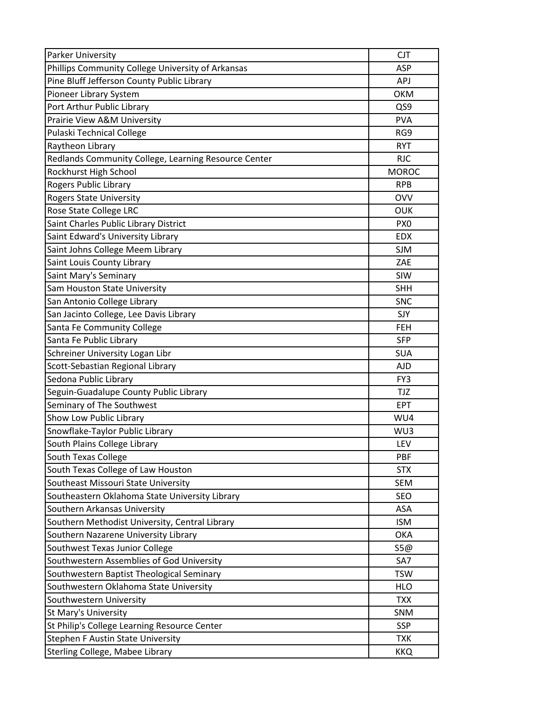| <b>Parker University</b>                             | <b>CJT</b>      |
|------------------------------------------------------|-----------------|
| Phillips Community College University of Arkansas    | ASP             |
| Pine Bluff Jefferson County Public Library           | APJ             |
| Pioneer Library System                               | <b>OKM</b>      |
| Port Arthur Public Library                           | QS9             |
| Prairie View A&M University                          | <b>PVA</b>      |
| <b>Pulaski Technical College</b>                     | RG9             |
| Raytheon Library                                     | <b>RYT</b>      |
| Redlands Community College, Learning Resource Center | <b>RJC</b>      |
| Rockhurst High School                                | <b>MOROC</b>    |
| Rogers Public Library                                | <b>RPB</b>      |
| <b>Rogers State University</b>                       | <b>OVV</b>      |
| Rose State College LRC                               | <b>OUK</b>      |
| Saint Charles Public Library District                | PX <sub>0</sub> |
| Saint Edward's University Library                    | <b>EDX</b>      |
| Saint Johns College Meem Library                     | <b>SJM</b>      |
| Saint Louis County Library                           | ZAE             |
| Saint Mary's Seminary                                | SIW             |
| Sam Houston State University                         | <b>SHH</b>      |
| San Antonio College Library                          | <b>SNC</b>      |
| San Jacinto College, Lee Davis Library               | SJY             |
| Santa Fe Community College                           | <b>FEH</b>      |
| Santa Fe Public Library                              | <b>SFP</b>      |
| Schreiner University Logan Libr                      | <b>SUA</b>      |
| Scott-Sebastian Regional Library                     | <b>AJD</b>      |
| Sedona Public Library                                | FY3             |
| Seguin-Guadalupe County Public Library               | <b>TJZ</b>      |
| Seminary of The Southwest                            | <b>EPT</b>      |
| Show Low Public Library                              | WU4             |
| Snowflake-Taylor Public Library                      | WU3             |
| South Plains College Library                         | LEV             |
| <b>South Texas College</b>                           | PBF             |
| South Texas College of Law Houston                   | <b>STX</b>      |
| Southeast Missouri State University                  | <b>SEM</b>      |
| Southeastern Oklahoma State University Library       | SEO             |
| Southern Arkansas University                         | <b>ASA</b>      |
| Southern Methodist University, Central Library       | <b>ISM</b>      |
| Southern Nazarene University Library                 | <b>OKA</b>      |
| Southwest Texas Junior College                       | S5@             |
| Southwestern Assemblies of God University            | SA7             |
| Southwestern Baptist Theological Seminary            | <b>TSW</b>      |
| Southwestern Oklahoma State University               | <b>HLO</b>      |
| Southwestern University                              | <b>TXX</b>      |
| St Mary's University                                 | SNM             |
| St Philip's College Learning Resource Center         | <b>SSP</b>      |
| <b>Stephen F Austin State University</b>             | <b>TXK</b>      |
| Sterling College, Mabee Library                      | <b>KKQ</b>      |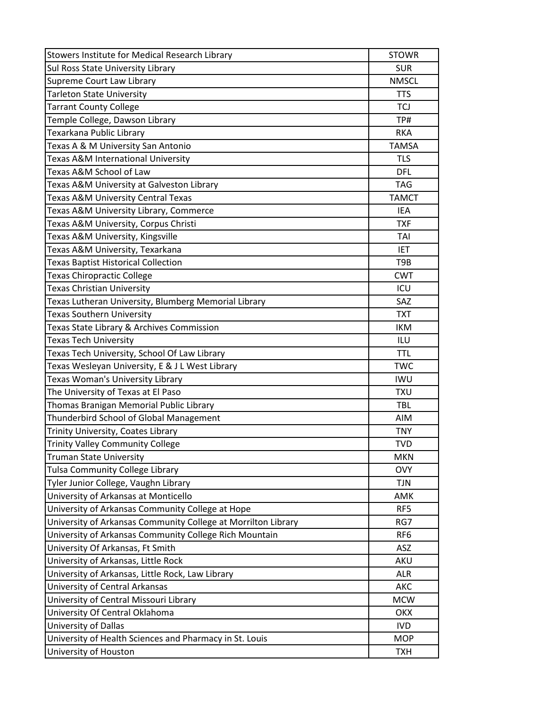| Stowers Institute for Medical Research Library                | <b>STOWR</b>    |
|---------------------------------------------------------------|-----------------|
| Sul Ross State University Library                             | <b>SUR</b>      |
| Supreme Court Law Library                                     | <b>NMSCL</b>    |
| <b>Tarleton State University</b>                              | <b>TTS</b>      |
| <b>Tarrant County College</b>                                 | TCJ             |
| Temple College, Dawson Library                                | TP#             |
| Texarkana Public Library                                      | <b>RKA</b>      |
| Texas A & M University San Antonio                            | <b>TAMSA</b>    |
| Texas A&M International University                            | <b>TLS</b>      |
| Texas A&M School of Law                                       | <b>DFL</b>      |
| Texas A&M University at Galveston Library                     | <b>TAG</b>      |
| Texas A&M University Central Texas                            | <b>TAMCT</b>    |
| Texas A&M University Library, Commerce                        | IEA             |
| Texas A&M University, Corpus Christi                          | <b>TXF</b>      |
| Texas A&M University, Kingsville                              | TAI             |
| Texas A&M University, Texarkana                               | <b>IET</b>      |
| <b>Texas Baptist Historical Collection</b>                    | T9B             |
| <b>Texas Chiropractic College</b>                             | <b>CWT</b>      |
| <b>Texas Christian University</b>                             | ICU             |
| Texas Lutheran University, Blumberg Memorial Library          | SAZ             |
| <b>Texas Southern University</b>                              | <b>TXT</b>      |
| Texas State Library & Archives Commission                     | <b>IKM</b>      |
| <b>Texas Tech University</b>                                  | ILU             |
| Texas Tech University, School Of Law Library                  | <b>TTL</b>      |
| Texas Wesleyan University, E & J L West Library               | <b>TWC</b>      |
| Texas Woman's University Library                              | <b>IWU</b>      |
| The University of Texas at El Paso                            | <b>TXU</b>      |
| Thomas Branigan Memorial Public Library                       | TBL             |
| Thunderbird School of Global Management                       | AIM             |
| Trinity University, Coates Library                            | <b>TNY</b>      |
| <b>Trinity Valley Community College</b>                       | <b>TVD</b>      |
| <b>Truman State University</b>                                | <b>MKN</b>      |
| <b>Tulsa Community College Library</b>                        | <b>OVY</b>      |
| Tyler Junior College, Vaughn Library                          | <b>TJN</b>      |
| University of Arkansas at Monticello                          | AMK             |
| University of Arkansas Community College at Hope              | RF5             |
| University of Arkansas Community College at Morrilton Library | RG7             |
| University of Arkansas Community College Rich Mountain        | RF <sub>6</sub> |
| University Of Arkansas, Ft Smith                              | ASZ             |
| University of Arkansas, Little Rock                           | AKU             |
| University of Arkansas, Little Rock, Law Library              | <b>ALR</b>      |
| University of Central Arkansas                                | <b>AKC</b>      |
| University of Central Missouri Library                        | <b>MCW</b>      |
| University Of Central Oklahoma                                | <b>OKX</b>      |
| University of Dallas                                          | <b>IVD</b>      |
| University of Health Sciences and Pharmacy in St. Louis       | <b>MOP</b>      |
| University of Houston                                         | <b>TXH</b>      |